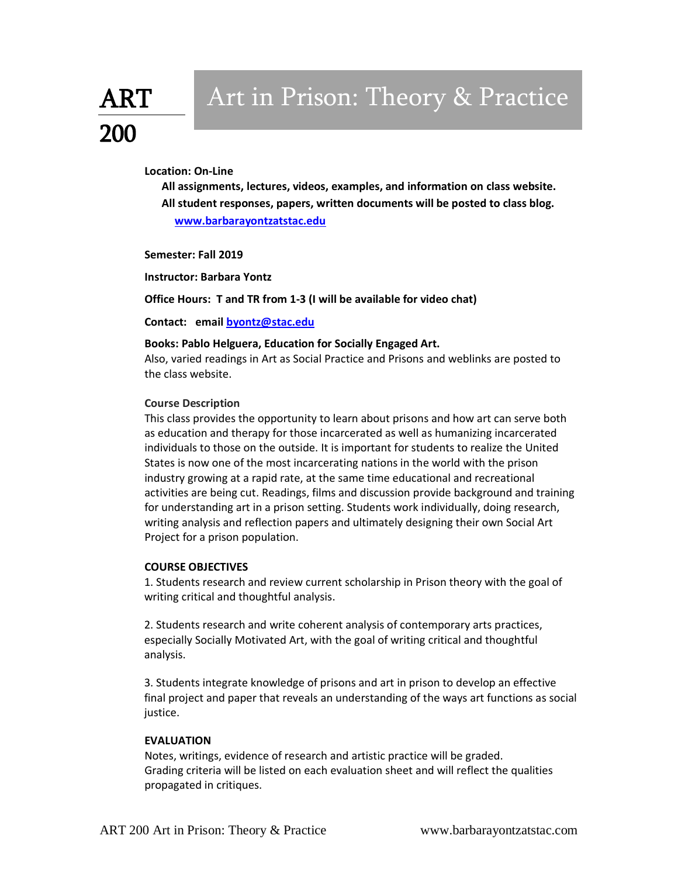# Art in Prison: Theory & Practice

# ART 200

# **Location: On-Line**

**All assignments, lectures, videos, examples, and information on class website. All student responses, papers, written documents will be posted to class blog. [www.barbarayontzatstac.edu](http://www.barbarayontzatstac.edu/)**

# **Semester: Fall 2019**

**Instructor: Barbara Yontz**

**Office Hours: T and TR from 1-3 (I will be available for video chat)** 

**Contact: emai[l byontz@stac.edu](mailto:byontz@stac.edu)**

# **Books: Pablo Helguera, Education for Socially Engaged Art.**

Also, varied readings in Art as Social Practice and Prisons and weblinks are posted to the class website.

# **Course Description**

This class provides the opportunity to learn about prisons and how art can serve both as education and therapy for those incarcerated as well as humanizing incarcerated individuals to those on the outside. It is important for students to realize the United States is now one of the most incarcerating nations in the world with the prison industry growing at a rapid rate, at the same time educational and recreational activities are being cut. Readings, films and discussion provide background and training for understanding art in a prison setting. Students work individually, doing research, writing analysis and reflection papers and ultimately designing their own Social Art Project for a prison population.

#### **COURSE OBJECTIVES**

1. Students research and review current scholarship in Prison theory with the goal of writing critical and thoughtful analysis.

2. Students research and write coherent analysis of contemporary arts practices, especially Socially Motivated Art, with the goal of writing critical and thoughtful analysis.

3. Students integrate knowledge of prisons and art in prison to develop an effective final project and paper that reveals an understanding of the ways art functions as social justice.

# **EVALUATION**

Notes, writings, evidence of research and artistic practice will be graded. Grading criteria will be listed on each evaluation sheet and will reflect the qualities propagated in critiques.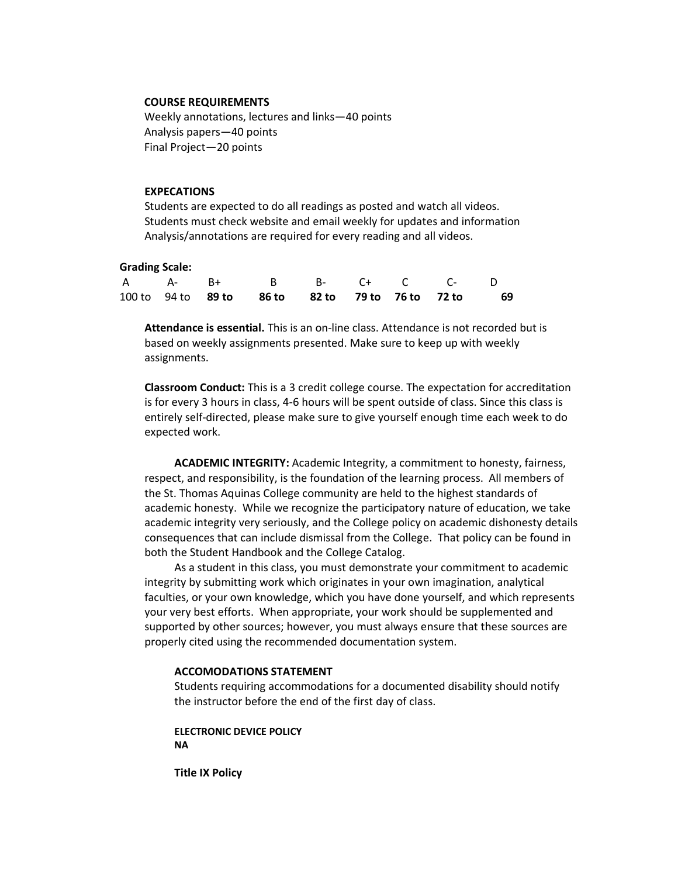### **COURSE REQUIREMENTS**

Weekly annotations, lectures and links—40 points Analysis papers—40 points Final Project—20 points

# **EXPECATIONS**

Students are expected to do all readings as posted and watch all videos. Students must check website and email weekly for updates and information Analysis/annotations are required for every reading and all videos.

#### **Grading Scale:**

|  | A A- B+ B B- C+ C C- D                              |  |  |  |
|--|-----------------------------------------------------|--|--|--|
|  | 100 to 94 to 89 to 86 to 82 to 79 to 76 to 72 to 69 |  |  |  |

**Attendance is essential.** This is an on-line class. Attendance is not recorded but is based on weekly assignments presented. Make sure to keep up with weekly assignments.

**Classroom Conduct:** This is a 3 credit college course. The expectation for accreditation is for every 3 hours in class, 4-6 hours will be spent outside of class. Since this class is entirely self-directed, please make sure to give yourself enough time each week to do expected work.

**ACADEMIC INTEGRITY:** Academic Integrity, a commitment to honesty, fairness, respect, and responsibility, is the foundation of the learning process. All members of the St. Thomas Aquinas College community are held to the highest standards of academic honesty. While we recognize the participatory nature of education, we take academic integrity very seriously, and the College policy on academic dishonesty details consequences that can include dismissal from the College. That policy can be found in both the Student Handbook and the College Catalog.

As a student in this class, you must demonstrate your commitment to academic integrity by submitting work which originates in your own imagination, analytical faculties, or your own knowledge, which you have done yourself, and which represents your very best efforts. When appropriate, your work should be supplemented and supported by other sources; however, you must always ensure that these sources are properly cited using the recommended documentation system.

#### **ACCOMODATIONS STATEMENT**

Students requiring accommodations for a documented disability should notify the instructor before the end of the first day of class.

**ELECTRONIC DEVICE POLICY NA**

**Title IX Policy**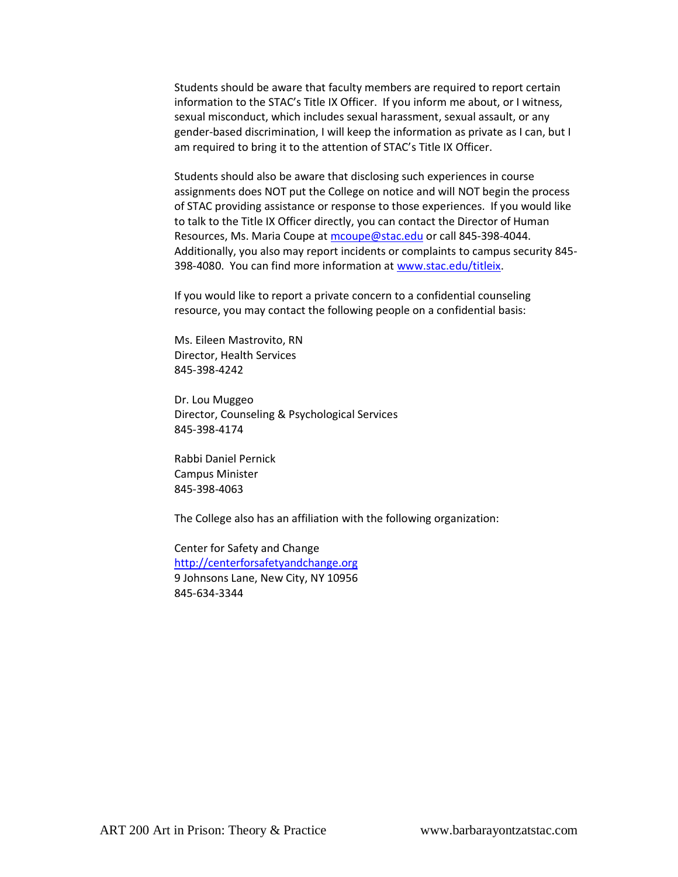Students should be aware that faculty members are required to report certain information to the STAC's Title IX Officer. If you inform me about, or I witness, sexual misconduct, which includes sexual harassment, sexual assault, or any gender-based discrimination, I will keep the information as private as I can, but I am required to bring it to the attention of STAC's Title IX Officer.

Students should also be aware that disclosing such experiences in course assignments does NOT put the College on notice and will NOT begin the process of STAC providing assistance or response to those experiences. If you would like to talk to the Title IX Officer directly, you can contact the Director of Human Resources, Ms. Maria Coupe at [mcoupe@stac.edu](mailto:mcoupe@stac.edu) or call 845-398-4044. Additionally, you also may report incidents or complaints to campus security 845- 398-4080. You can find more information at [www.stac.edu/titleix.](http://www.stac.edu/titleix)

If you would like to report a private concern to a confidential counseling resource, you may contact the following people on a confidential basis:

Ms. Eileen Mastrovito, RN Director, Health Services 845-398-4242

Dr. Lou Muggeo Director, Counseling & Psychological Services 845-398-4174

Rabbi Daniel Pernick Campus Minister 845-398-4063

The College also has an affiliation with the following organization:

Center for Safety and Change [http://centerforsafetyandchange.org](http://centerforsafetyandchange.org/) 9 Johnsons Lane, New City, NY 10956 845-634-3344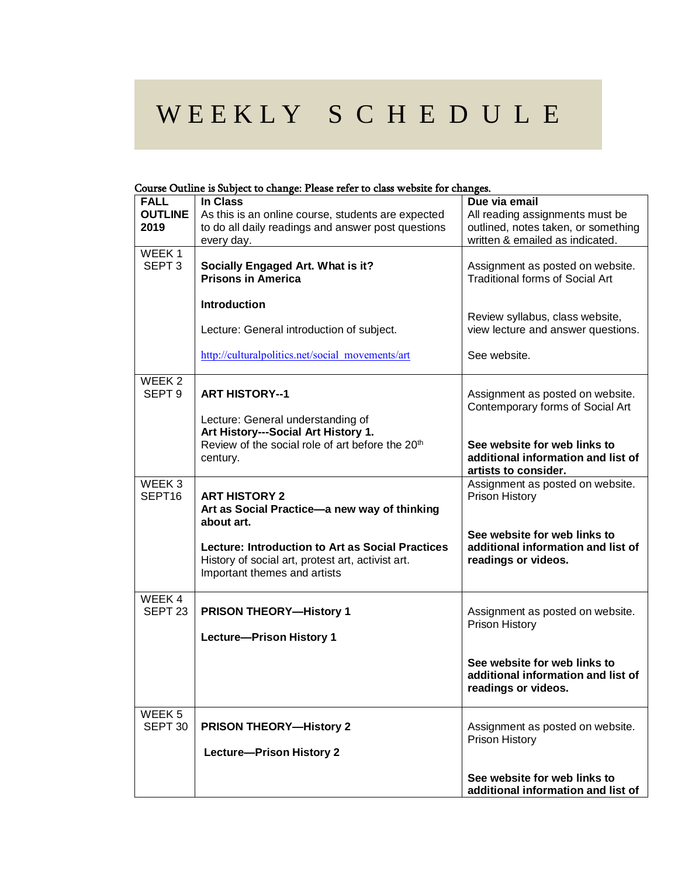# W E E K L Y S C H E D U L E

# Course Outline is Subject to change: Please refer to class website for changes.

|                    | course curine is susject to enanger i rease refer to enas website for enanges. |                                        |
|--------------------|--------------------------------------------------------------------------------|----------------------------------------|
| <b>FALL</b>        | In Class                                                                       | Due via email                          |
| <b>OUTLINE</b>     | As this is an online course, students are expected                             | All reading assignments must be        |
|                    |                                                                                |                                        |
| 2019               | to do all daily readings and answer post questions                             | outlined, notes taken, or something    |
|                    | every day.                                                                     | written & emailed as indicated.        |
| WEEK <sub>1</sub>  |                                                                                |                                        |
| SEPT <sub>3</sub>  |                                                                                |                                        |
|                    | Socially Engaged Art. What is it?                                              | Assignment as posted on website.       |
|                    | <b>Prisons in America</b>                                                      | <b>Traditional forms of Social Art</b> |
|                    |                                                                                |                                        |
|                    | Introduction                                                                   |                                        |
|                    |                                                                                |                                        |
|                    |                                                                                | Review syllabus, class website,        |
|                    | Lecture: General introduction of subject.                                      | view lecture and answer questions.     |
|                    |                                                                                |                                        |
|                    |                                                                                |                                        |
|                    | http://culturalpolitics.net/social movements/art                               | See website.                           |
|                    |                                                                                |                                        |
| WEEK <sub>2</sub>  |                                                                                |                                        |
| SEPT <sub>9</sub>  | <b>ART HISTORY--1</b>                                                          |                                        |
|                    |                                                                                | Assignment as posted on website.       |
|                    |                                                                                | Contemporary forms of Social Art       |
|                    | Lecture: General understanding of                                              |                                        |
|                    | Art History---Social Art History 1.                                            |                                        |
|                    |                                                                                |                                        |
|                    | Review of the social role of art before the 20 <sup>th</sup>                   | See website for web links to           |
|                    | century.                                                                       | additional information and list of     |
|                    |                                                                                | artists to consider.                   |
| WEEK <sub>3</sub>  |                                                                                |                                        |
|                    |                                                                                | Assignment as posted on website.       |
| SEPT16             | <b>ART HISTORY 2</b>                                                           | Prison History                         |
|                    | Art as Social Practice-a new way of thinking                                   |                                        |
|                    | about art.                                                                     |                                        |
|                    |                                                                                |                                        |
|                    |                                                                                | See website for web links to           |
|                    | Lecture: Introduction to Art as Social Practices                               | additional information and list of     |
|                    | History of social art, protest art, activist art.                              | readings or videos.                    |
|                    |                                                                                |                                        |
|                    | Important themes and artists                                                   |                                        |
|                    |                                                                                |                                        |
| WEEK4              |                                                                                |                                        |
| SEPT <sub>23</sub> | <b>PRISON THEORY-History 1</b>                                                 | Assignment as posted on website.       |
|                    |                                                                                |                                        |
|                    |                                                                                | Prison History                         |
|                    | <b>Lecture-Prison History 1</b>                                                |                                        |
|                    |                                                                                |                                        |
|                    |                                                                                | See website for web links to           |
|                    |                                                                                |                                        |
|                    |                                                                                | additional information and list of     |
|                    |                                                                                | readings or videos.                    |
|                    |                                                                                |                                        |
| WEEK <sub>5</sub>  |                                                                                |                                        |
|                    |                                                                                |                                        |
| SEPT 30            | <b>PRISON THEORY-History 2</b>                                                 | Assignment as posted on website.       |
|                    |                                                                                | Prison History                         |
|                    | <b>Lecture-Prison History 2</b>                                                |                                        |
|                    |                                                                                |                                        |
|                    |                                                                                |                                        |
|                    |                                                                                | See website for web links to           |
|                    |                                                                                | additional information and list of     |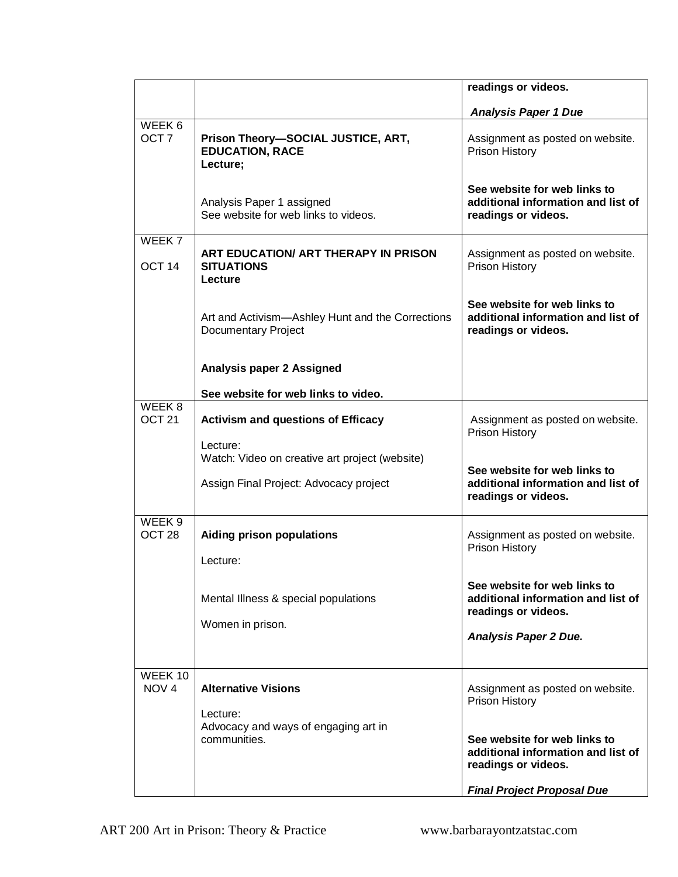|                                        |                                                                                | readings or videos.                                                                       |
|----------------------------------------|--------------------------------------------------------------------------------|-------------------------------------------------------------------------------------------|
|                                        |                                                                                | <b>Analysis Paper 1 Due</b>                                                               |
| WEEK 6<br>OCT <sub>7</sub>             | Prison Theory-SOCIAL JUSTICE, ART,<br><b>EDUCATION, RACE</b><br>Lecture;       | Assignment as posted on website.<br>Prison History                                        |
|                                        | Analysis Paper 1 assigned<br>See website for web links to videos.              | See website for web links to<br>additional information and list of<br>readings or videos. |
| WEEK <sub>7</sub><br>OCT <sub>14</sub> | ART EDUCATION/ ART THERAPY IN PRISON<br><b>SITUATIONS</b><br>Lecture           | Assignment as posted on website.<br>Prison History                                        |
|                                        | Art and Activism-Ashley Hunt and the Corrections<br><b>Documentary Project</b> | See website for web links to<br>additional information and list of<br>readings or videos. |
|                                        | Analysis paper 2 Assigned                                                      |                                                                                           |
| WEEK <sub>8</sub>                      | See website for web links to video.                                            |                                                                                           |
| OCT <sub>21</sub>                      | <b>Activism and questions of Efficacy</b>                                      | Assignment as posted on website.<br>Prison History                                        |
|                                        | Lecture:<br>Watch: Video on creative art project (website)                     |                                                                                           |
|                                        | Assign Final Project: Advocacy project                                         | See website for web links to<br>additional information and list of<br>readings or videos. |
| WEEK <sub>9</sub><br>OCT <sub>28</sub> | <b>Aiding prison populations</b><br>Lecture:                                   | Assignment as posted on website.<br>Prison History                                        |
|                                        | Mental Illness & special populations<br>Women in prison.                       | See website for web links to<br>additional information and list of<br>readings or videos. |
|                                        |                                                                                | <b>Analysis Paper 2 Due.</b>                                                              |
| WEEK 10<br>NOV <sub>4</sub>            | <b>Alternative Visions</b>                                                     | Assignment as posted on website.<br>Prison History                                        |
|                                        | Lecture:<br>Advocacy and ways of engaging art in<br>communities.               | See website for web links to<br>additional information and list of<br>readings or videos. |
|                                        |                                                                                | <b>Final Project Proposal Due</b>                                                         |